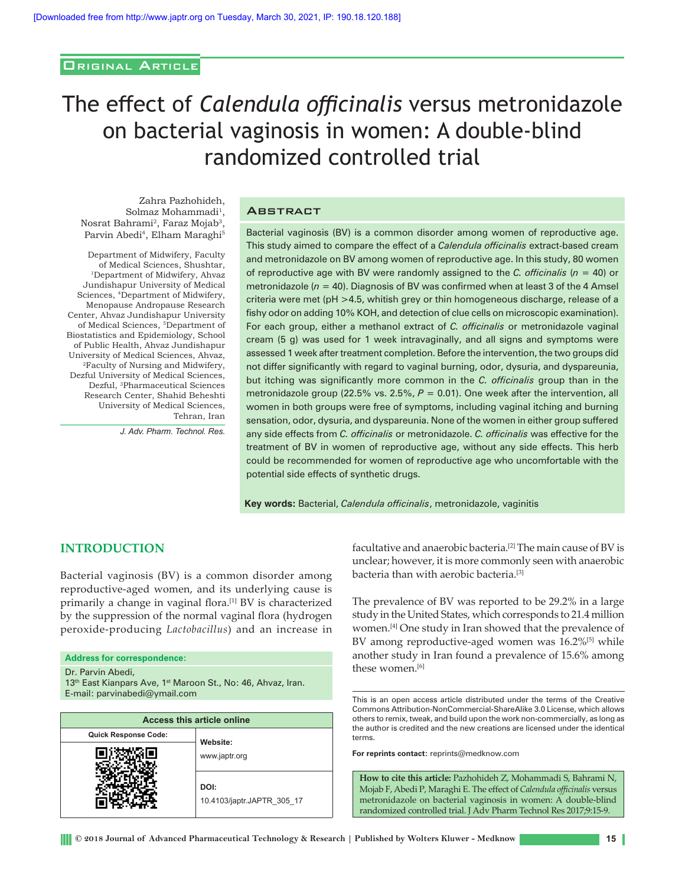# Original Article

# The effect of *Calendula officinalis* versus metronidazole on bacterial vaginosis in women: A double‑blind randomized controlled trial

Zahra Pazhohideh, Solmaz Mohammadi<sup>1</sup>, Nosrat Bahrami2, Faraz Mojab3, Parvin Abedi<sup>4</sup>, Elham Maraghi<sup>5</sup>

Department of Midwifery, Faculty of Medical Sciences, Shushtar, 1Department of Midwifery, Ahvaz Jundishapur University of Medical Sciences, 4Department of Midwifery, Menopause Andropause Research Center, Ahvaz Jundishapur University of Medical Sciences, 5Department of Biostatistics and Epidemiology, School of Public Health, Ahvaz Jundishapur University of Medical Sciences, Ahvaz, 2Faculty of Nursing and Midwifery, Dezful University of Medical Sciences, Dezful, 3Pharmaceutical Sciences Research Center, Shahid Beheshti University of Medical Sciences, Tehran, Iran

*J. Adv. Pharm. Technol. Res.*

#### **ABSTRACT**

Bacterial vaginosis (BV) is a common disorder among women of reproductive age. This study aimed to compare the effect of a *Calendula officinalis* extract‑based cream and metronidazole on BV among women of reproductive age. In this study, 80 women of reproductive age with BV were randomly assigned to the *C. officinalis* (*n* = 40) or metronidazole ( $n = 40$ ). Diagnosis of BV was confirmed when at least 3 of the 4 Amsel criteria were met (pH >4.5, whitish grey or thin homogeneous discharge, release of a fishy odor on adding 10% KOH, and detection of clue cells on microscopic examination). For each group, either a methanol extract of *C. officinalis* or metronidazole vaginal cream (5 g) was used for 1 week intravaginally, and all signs and symptoms were assessed 1 week after treatment completion. Before the intervention, the two groups did not differ significantly with regard to vaginal burning, odor, dysuria, and dyspareunia, but itching was significantly more common in the *C. officinalis* group than in the metronidazole group (22.5% vs. 2.5%,  $P = 0.01$ ). One week after the intervention, all women in both groups were free of symptoms, including vaginal itching and burning sensation, odor, dysuria, and dyspareunia. None of the women in either group suffered any side effects from *C. officinalis* or metronidazole. *C. officinalis* was effective for the treatment of BV in women of reproductive age, without any side effects. This herb could be recommended for women of reproductive age who uncomfortable with the potential side effects of synthetic drugs.

**Key words:** Bacterial, *Calendula officinalis*, metronidazole, vaginitis

# **INTRODUCTION**

Bacterial vaginosis (BV) is a common disorder among reproductive‑aged women, and its underlying cause is primarily a change in vaginal flora.<sup>[1]</sup> BV is characterized by the suppression of the normal vaginal flora (hydrogen peroxide‑producing *Lactobacillus*) and an increase in

#### **Address for correspondence:**

Dr. Parvin Abedi,

13<sup>th</sup> East Kianpars Ave, 1<sup>st</sup> Maroon St., No: 46, Ahvaz, Iran. E-mail: parvinabedi@ymail.com This is an open access article distributed under the terms of the Creative

| <b>Access this article online</b> |                                    |  |  |  |  |  |
|-----------------------------------|------------------------------------|--|--|--|--|--|
| <b>Quick Response Code:</b>       | Website:                           |  |  |  |  |  |
|                                   | www.japtr.org                      |  |  |  |  |  |
|                                   | DOI:<br>10.4103/japtr.JAPTR 305 17 |  |  |  |  |  |

facultative and anaerobic bacteria.[2] The main cause of BV is unclear; however, it is more commonly seen with anaerobic bacteria than with aerobic bacteria.[3]

The prevalence of BV was reported to be 29.2% in a large study in the United States, which corresponds to 21.4 million women.[4] One study in Iran showed that the prevalence of BV among reproductive-aged women was 16.2%<sup>[5]</sup> while another study in Iran found a prevalence of 15.6% among these women.[6]

Commons Attribution‑NonCommercial‑ShareAlike 3.0 License, which allows others to remix, tweak, and build upon the work non‑commercially, as long as the author is credited and the new creations are licensed under the identical terms.

**For reprints contact:** reprints@medknow.com

**How to cite this article:** Pazhohideh Z, Mohammadi S, Bahrami N, Mojab F, Abedi P, Maraghi E. The effect of *Calendula officinalis* versus metronidazole on bacterial vaginosis in women: A double-blind randomized controlled trial. J Adv Pharm Technol Res 2017;9:15-9.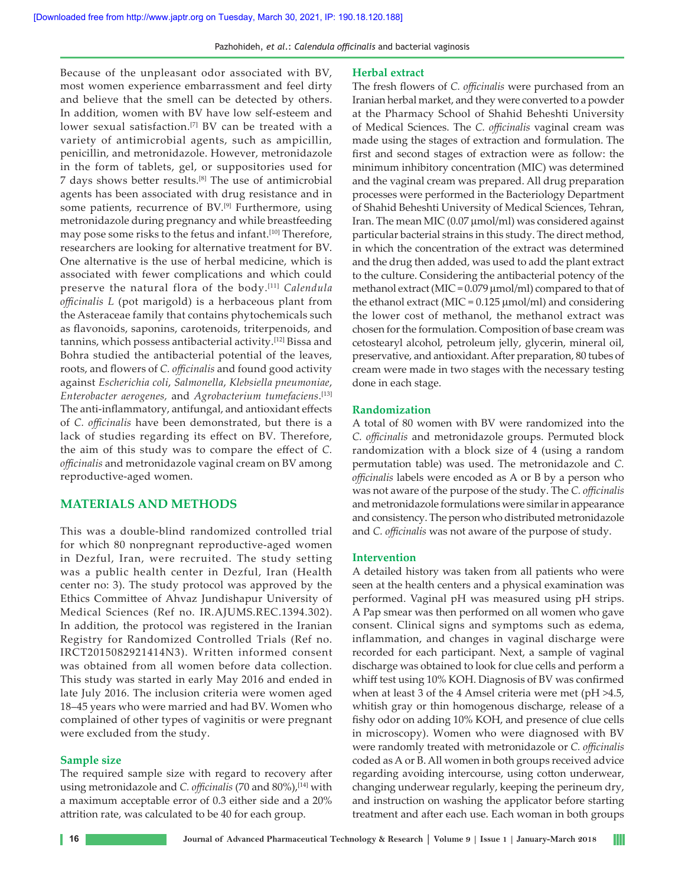Pazhohideh, *et al*.: *Calendula officinalis* and bacterial vaginosis

Because of the unpleasant odor associated with BV, most women experience embarrassment and feel dirty and believe that the smell can be detected by others. In addition, women with BV have low self‑esteem and lower sexual satisfaction.<sup>[7]</sup> BV can be treated with a variety of antimicrobial agents, such as ampicillin, penicillin, and metronidazole. However, metronidazole in the form of tablets, gel, or suppositories used for 7 days shows better results.[8] The use of antimicrobial agents has been associated with drug resistance and in some patients, recurrence of BV.<sup>[9]</sup> Furthermore, using metronidazole during pregnancy and while breastfeeding may pose some risks to the fetus and infant.<sup>[10]</sup> Therefore, researchers are looking for alternative treatment for BV. One alternative is the use of herbal medicine, which is associated with fewer complications and which could preserve the natural flora of the body.[11] *Calendula officinalis L* (pot marigold) is a herbaceous plant from the Asteraceae family that contains phytochemicals such as flavonoids, saponins, carotenoids, triterpenoids, and tannins, which possess antibacterial activity.[12] Bissa and Bohra studied the antibacterial potential of the leaves, roots, and flowers of *C. officinalis* and found good activity against *Escherichia coli*, *Salmonella*, *Klebsiella pneumoniae*, *Enterobacter aerogenes,* and *Agrobacterium tumefaciens*. [13] The anti-inflammatory, antifungal, and antioxidant effects of *C. officinalis* have been demonstrated, but there is a lack of studies regarding its effect on BV. Therefore, the aim of this study was to compare the effect of *C. officinalis* and metronidazole vaginal cream on BV among reproductive‑aged women.

# **MATERIALS AND METHODS**

This was a double‑blind randomized controlled trial for which 80 nonpregnant reproductive-aged women in Dezful, Iran, were recruited. The study setting was a public health center in Dezful, Iran (Health center no: 3). The study protocol was approved by the Ethics Committee of Ahvaz Jundishapur University of Medical Sciences (Ref no. IR.AJUMS.REC.1394.302). In addition, the protocol was registered in the Iranian Registry for Randomized Controlled Trials (Ref no. IRCT2015082921414N3). Written informed consent was obtained from all women before data collection. This study was started in early May 2016 and ended in late July 2016. The inclusion criteria were women aged 18–45 years who were married and had BV. Women who complained of other types of vaginitis or were pregnant were excluded from the study.

## **Sample size**

The required sample size with regard to recovery after using metronidazole and *C. officinalis* (70 and 80%),<sup>[14]</sup> with a maximum acceptable error of 0.3 either side and a 20% attrition rate, was calculated to be 40 for each group.

#### **Herbal extract**

The fresh flowers of *C. officinalis* were purchased from an Iranian herbal market, and they were converted to a powder at the Pharmacy School of Shahid Beheshti University of Medical Sciences. The *C. officinalis* vaginal cream was made using the stages of extraction and formulation. The first and second stages of extraction were as follow: the minimum inhibitory concentration (MIC) was determined and the vaginal cream was prepared. All drug preparation processes were performed in the Bacteriology Department of Shahid Beheshti University of Medical Sciences, Tehran, Iran. The mean MIC (0.07 µmol/ml) was considered against particular bacterial strains in this study. The direct method, in which the concentration of the extract was determined and the drug then added, was used to add the plant extract to the culture. Considering the antibacterial potency of the methanol extract (MIC = 0.079 µmol/ml) compared to that of the ethanol extract (MIC =  $0.125 \mu$ mol/ml) and considering the lower cost of methanol, the methanol extract was chosen for the formulation. Composition of base cream was cetostearyl alcohol, petroleum jelly, glycerin, mineral oil, preservative, and antioxidant. After preparation, 80 tubes of cream were made in two stages with the necessary testing done in each stage.

#### **Randomization**

A total of 80 women with BV were randomized into the *C. officinalis* and metronidazole groups. Permuted block randomization with a block size of 4 (using a random permutation table) was used. The metronidazole and *C. officinalis* labels were encoded as A or B by a person who was not aware of the purpose of the study. The *C. officinalis* and metronidazole formulations were similar in appearance and consistency. The person who distributed metronidazole and *C. officinalis* was not aware of the purpose of study.

#### **Intervention**

A detailed history was taken from all patients who were seen at the health centers and a physical examination was performed. Vaginal pH was measured using pH strips. A Pap smear was then performed on all women who gave consent. Clinical signs and symptoms such as edema, inflammation, and changes in vaginal discharge were recorded for each participant. Next, a sample of vaginal discharge was obtained to look for clue cells and perform a whiff test using 10% KOH. Diagnosis of BV was confirmed when at least 3 of the 4 Amsel criteria were met (pH >4.5, whitish gray or thin homogenous discharge, release of a fishy odor on adding 10% KOH, and presence of clue cells in microscopy). Women who were diagnosed with BV were randomly treated with metronidazole or *C. officinalis* coded as A or B. All women in both groups received advice regarding avoiding intercourse, using cotton underwear, changing underwear regularly, keeping the perineum dry, and instruction on washing the applicator before starting treatment and after each use. Each woman in both groups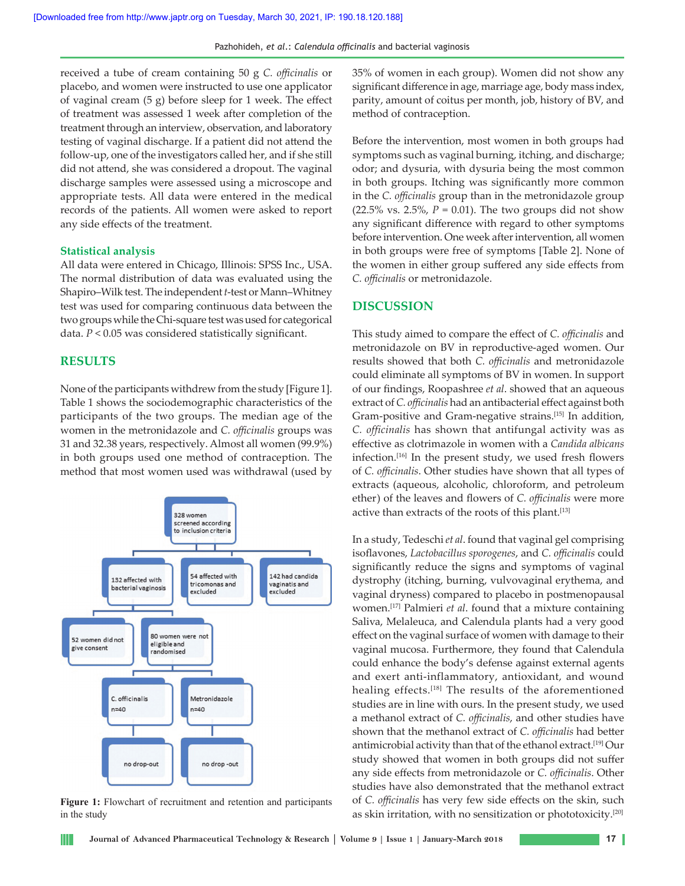received a tube of cream containing 50 g *C. officinalis* or placebo, and women were instructed to use one applicator of vaginal cream (5 g) before sleep for 1 week. The effect of treatment was assessed 1 week after completion of the treatment through an interview, observation, and laboratory testing of vaginal discharge. If a patient did not attend the follow‑up, one of the investigators called her, and if she still did not attend, she was considered a dropout. The vaginal discharge samples were assessed using a microscope and appropriate tests. All data were entered in the medical records of the patients. All women were asked to report any side effects of the treatment.

#### **Statistical analysis**

All data were entered in Chicago, Illinois: SPSS Inc., USA. The normal distribution of data was evaluated using the Shapiro–Wilk test. The independent *t*‑test or Mann–Whitney test was used for comparing continuous data between the two groups while the Chi‑square test was used for categorical data. *P* < 0.05 was considered statistically significant.

#### **RESULTS**

Ш

None of the participants withdrew from the study [Figure 1]. Table 1 shows the sociodemographic characteristics of the participants of the two groups. The median age of the women in the metronidazole and *C. officinalis* groups was 31 and 32.38 years, respectively. Almost all women (99.9%) in both groups used one method of contraception. The method that most women used was withdrawal (used by



**Figure 1:** Flowchart of recruitment and retention and participants in the study

35% of women in each group). Women did not show any significant difference in age, marriage age, body mass index, parity, amount of coitus per month, job, history of BV, and method of contraception.

Before the intervention, most women in both groups had symptoms such as vaginal burning, itching, and discharge; odor; and dysuria, with dysuria being the most common in both groups. Itching was significantly more common in the *C. officinalis* group than in the metronidazole group (22.5% vs. 2.5%,  $P = 0.01$ ). The two groups did not show any significant difference with regard to other symptoms before intervention. One week after intervention, all women in both groups were free of symptoms [Table 2]. None of the women in either group suffered any side effects from *C. officinalis* or metronidazole.

# **DISCUSSION**

This study aimed to compare the effect of *C. officinalis* and metronidazole on BV in reproductive‑aged women. Our results showed that both *C. officinalis* and metronidazole could eliminate all symptoms of BV in women. In support of our findings, Roopashree *et al*. showed that an aqueous extract of *C. officinalis* had an antibacterial effect against both Gram-positive and Gram-negative strains.<sup>[15]</sup> In addition, *C. officinalis* has shown that antifungal activity was as effective as clotrimazole in women with a *Candida albicans* infection.[16] In the present study, we used fresh flowers of *C. officinalis*. Other studies have shown that all types of extracts (aqueous, alcoholic, chloroform, and petroleum ether) of the leaves and flowers of *C. officinalis* were more active than extracts of the roots of this plant.[13]

In a study, Tedeschi *et al*. found that vaginal gel comprising isoflavones, *Lactobacillus sporogenes*, and *C. officinalis* could significantly reduce the signs and symptoms of vaginal dystrophy (itching, burning, vulvovaginal erythema, and vaginal dryness) compared to placebo in postmenopausal women.[17] Palmieri *et al*. found that a mixture containing Saliva, Melaleuca, and Calendula plants had a very good effect on the vaginal surface of women with damage to their vaginal mucosa. Furthermore, they found that Calendula could enhance the body's defense against external agents and exert anti-inflammatory, antioxidant, and wound healing effects.<sup>[18]</sup> The results of the aforementioned studies are in line with ours. In the present study, we used a methanol extract of *C. officinalis*, and other studies have shown that the methanol extract of *C. officinalis* had better antimicrobial activity than that of the ethanol extract.[19] Our study showed that women in both groups did not suffer any side effects from metronidazole or *C. officinalis*. Other studies have also demonstrated that the methanol extract of *C. officinalis* has very few side effects on the skin, such as skin irritation, with no sensitization or phototoxicity.[20]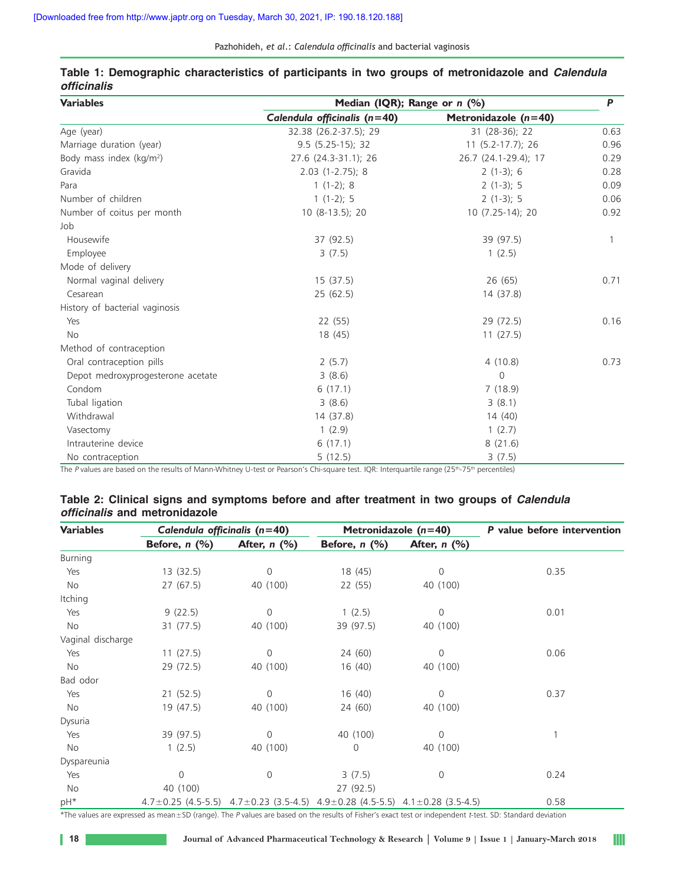Pazhohideh, *et al*.: *Calendula officinalis* and bacterial vaginosis

| <b>Variables</b>                  | Median (IQR); Range or n (%) |                        |      |  |  |  |  |
|-----------------------------------|------------------------------|------------------------|------|--|--|--|--|
|                                   | Calendula officinalis (n=40) | Metronidazole $(n=40)$ |      |  |  |  |  |
| Age (year)                        | 32.38 (26.2-37.5); 29        | 31 (28-36); 22         | 0.63 |  |  |  |  |
| Marriage duration (year)          | $9.5$ (5.25-15); 32          | 11 (5.2-17.7); 26      | 0.96 |  |  |  |  |
| Body mass index $(kg/m2)$         | 27.6 (24.3-31.1); 26         | 26.7 (24.1-29.4); 17   | 0.29 |  |  |  |  |
| Gravida                           | $2.03$ (1-2.75); 8           | $2(1-3); 6$            | 0.28 |  |  |  |  |
| Para                              | $1(1-2)$ ; 8                 | $2(1-3); 5$            | 0.09 |  |  |  |  |
| Number of children                | $1(1-2)$ ; 5                 | $2(1-3); 5$            | 0.06 |  |  |  |  |
| Number of coitus per month        | 10 (8-13.5); 20              | 10 (7.25-14); 20       | 0.92 |  |  |  |  |
| Job                               |                              |                        |      |  |  |  |  |
| Housewife                         | 37 (92.5)                    | 39 (97.5)              | 1    |  |  |  |  |
| Employee                          | 3(7.5)                       | 1(2.5)                 |      |  |  |  |  |
| Mode of delivery                  |                              |                        |      |  |  |  |  |
| Normal vaginal delivery           | 15(37.5)                     | 26(65)                 | 0.71 |  |  |  |  |
| Cesarean                          | 25(62.5)                     | 14 (37.8)              |      |  |  |  |  |
| History of bacterial vaginosis    |                              |                        |      |  |  |  |  |
| Yes                               | 22(55)                       | 29(72.5)               | 0.16 |  |  |  |  |
| <b>No</b>                         | 18 (45)                      | 11(27.5)               |      |  |  |  |  |
| Method of contraception           |                              |                        |      |  |  |  |  |
| Oral contraception pills          | 2(5.7)                       | 4(10.8)                | 0.73 |  |  |  |  |
| Depot medroxyprogesterone acetate | 3(8.6)                       | 0                      |      |  |  |  |  |
| Condom                            | 6(17.1)                      | 7(18.9)                |      |  |  |  |  |
| Tubal ligation                    | 3(8.6)                       | 3(8.1)                 |      |  |  |  |  |
| Withdrawal                        | 14 (37.8)                    | 14 (40)                |      |  |  |  |  |
| Vasectomy                         | 1(2.9)                       | 1(2.7)                 |      |  |  |  |  |
| Intrauterine device               | 6(17.1)                      | 8(21.6)                |      |  |  |  |  |
| No contraception                  | 5(12.5)                      | 3(7.5)                 |      |  |  |  |  |

## **Table 1: Demographic characteristics of participants in two groups of metronidazole and** *Calendula*  **officinalis**

The P values are based on the results of Mann-Whitney U-test or Pearson's Chi-square test. IQR: Interquartile range (25<sup>th</sup>-75<sup>th</sup> percentiles)

|  |                                      |  | Table 2: Clinical signs and symptoms before and after treatment in two groups of <i>Calendula</i> |  |  |  |  |  |
|--|--------------------------------------|--|---------------------------------------------------------------------------------------------------|--|--|--|--|--|
|  | <i>officinalis</i> and metronidazole |  |                                                                                                   |  |  |  |  |  |

| <b>Variables</b>  | Calendula officinalis $(n=40)$ |                                                                                                     | Metronidazole $(n=40)$ |                | P value before intervention |  |  |
|-------------------|--------------------------------|-----------------------------------------------------------------------------------------------------|------------------------|----------------|-----------------------------|--|--|
|                   | Before, $n$ $(\%)$             | After, $n$ (%)                                                                                      | Before, $n$ $(\%)$     | After, $n$ (%) |                             |  |  |
| Burning           |                                |                                                                                                     |                        |                |                             |  |  |
| Yes               | 13(32.5)                       | 0                                                                                                   | 18 (45)                | 0              | 0.35                        |  |  |
| No                | 27(67.5)                       | 40 (100)                                                                                            | 22 (55)                | 40 (100)       |                             |  |  |
| Itching           |                                |                                                                                                     |                        |                |                             |  |  |
| Yes               | 9(22.5)                        | $\Omega$                                                                                            | 1(2.5)                 | 0              | 0.01                        |  |  |
| No                | 31 (77.5)                      | 40 (100)                                                                                            | 39 (97.5)              | 40 (100)       |                             |  |  |
| Vaginal discharge |                                |                                                                                                     |                        |                |                             |  |  |
| Yes               | 11(27.5)                       | $\Omega$                                                                                            | 24 (60)                | $\Omega$       | 0.06                        |  |  |
| No                | 29 (72.5)                      | 40 (100)                                                                                            | 16(40)                 | 40 (100)       |                             |  |  |
| Bad odor          |                                |                                                                                                     |                        |                |                             |  |  |
| Yes               | 21(52.5)                       | 0                                                                                                   | 16(40)                 | $\mathbf 0$    | 0.37                        |  |  |
| No                | 19 (47.5)                      | 40 (100)                                                                                            | 24 (60)                | 40 (100)       |                             |  |  |
| Dysuria           |                                |                                                                                                     |                        |                |                             |  |  |
| Yes               | 39 (97.5)                      | $\Omega$                                                                                            | 40 (100)               | 0              |                             |  |  |
| No                | 1(2.5)                         | 40 (100)                                                                                            | 0                      | 40 (100)       |                             |  |  |
| Dyspareunia       |                                |                                                                                                     |                        |                |                             |  |  |
| Yes               | 0                              | $\Omega$                                                                                            | 3(7.5)                 | $\Omega$       | 0.24                        |  |  |
| No                | 40 (100)                       |                                                                                                     | 27(92.5)               |                |                             |  |  |
| pH*               |                                | $4.7 \pm 0.25$ (4.5-5.5) $4.7 \pm 0.23$ (3.5-4.5) $4.9 \pm 0.28$ (4.5-5.5) $4.1 \pm 0.28$ (3.5-4.5) |                        |                | 0.58                        |  |  |

\*The values are expressed as mean±SD (range). The <sup>P</sup> values are based on the results of Fisher's exact test or independent t‑test. SD: Standard deviation

H